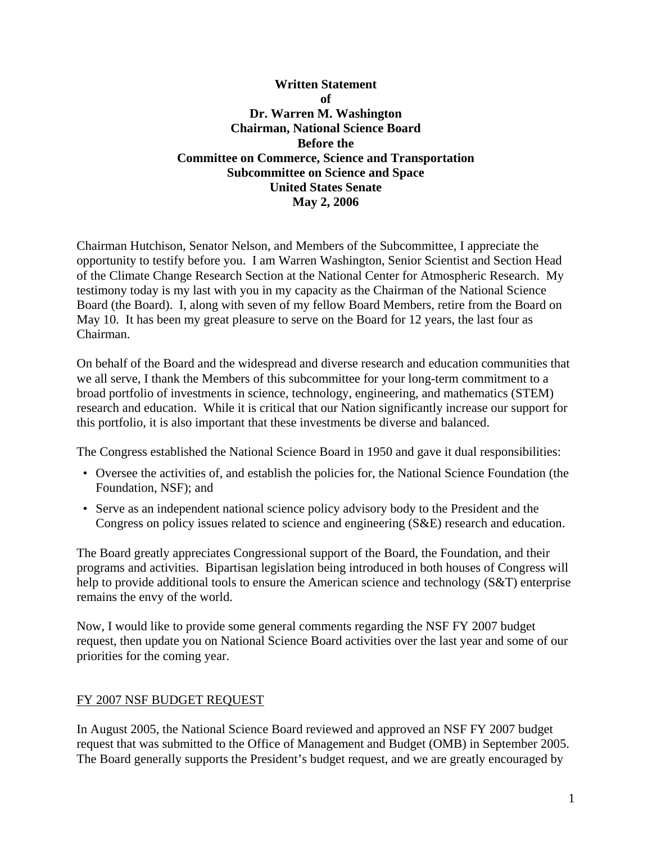# **Written Statement**   $\mathbf{f}$ **Dr. Warren M. Washington Chairman, National Science Board Before the Committee on Commerce, Science and Transportation Subcommittee on Science and Space United States Senate May 2, 2006**

Chairman Hutchison, Senator Nelson, and Members of the Subcommittee, I appreciate the opportunity to testify before you. I am Warren Washington, Senior Scientist and Section Head of the Climate Change Research Section at the National Center for Atmospheric Research. My testimony today is my last with you in my capacity as the Chairman of the National Science Board (the Board). I, along with seven of my fellow Board Members, retire from the Board on May 10. It has been my great pleasure to serve on the Board for 12 years, the last four as Chairman.

On behalf of the Board and the widespread and diverse research and education communities that we all serve, I thank the Members of this subcommittee for your long-term commitment to a broad portfolio of investments in science, technology, engineering, and mathematics (STEM) research and education. While it is critical that our Nation significantly increase our support for this portfolio, it is also important that these investments be diverse and balanced.

The Congress established the National Science Board in 1950 and gave it dual responsibilities:

- Oversee the activities of, and establish the policies for, the National Science Foundation (the Foundation, NSF); and
- Serve as an independent national science policy advisory body to the President and the Congress on policy issues related to science and engineering (S&E) research and education.

The Board greatly appreciates Congressional support of the Board, the Foundation, and their programs and activities. Bipartisan legislation being introduced in both houses of Congress will help to provide additional tools to ensure the American science and technology (S&T) enterprise remains the envy of the world.

Now, I would like to provide some general comments regarding the NSF FY 2007 budget request, then update you on National Science Board activities over the last year and some of our priorities for the coming year.

## FY 2007 NSF BUDGET REQUEST

In August 2005, the National Science Board reviewed and approved an NSF FY 2007 budget request that was submitted to the Office of Management and Budget (OMB) in September 2005. The Board generally supports the President's budget request, and we are greatly encouraged by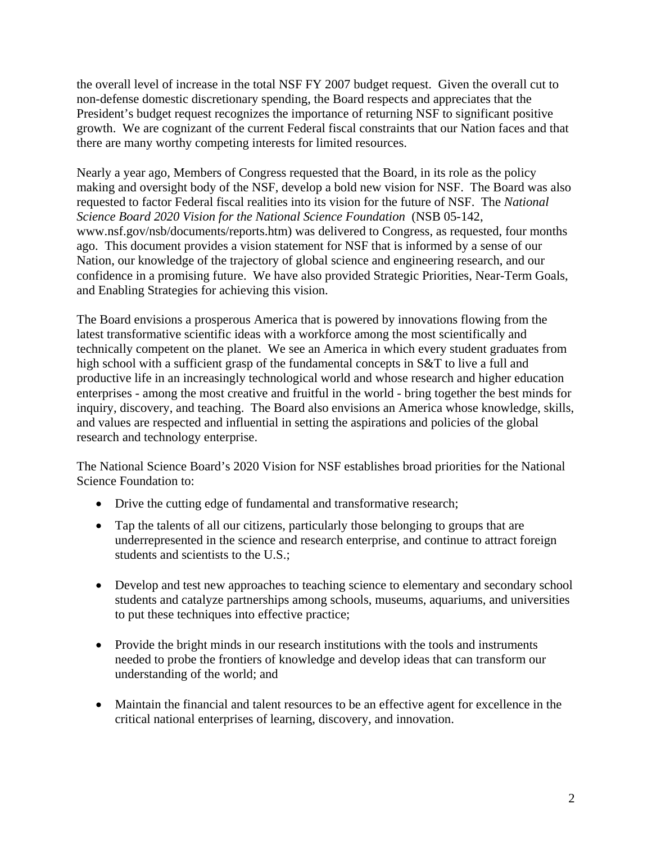the overall level of increase in the total NSF FY 2007 budget request. Given the overall cut to non-defense domestic discretionary spending, the Board respects and appreciates that the President's budget request recognizes the importance of returning NSF to significant positive growth. We are cognizant of the current Federal fiscal constraints that our Nation faces and that there are many worthy competing interests for limited resources.

Nearly a year ago, Members of Congress requested that the Board, in its role as the policy making and oversight body of the NSF, develop a bold new vision for NSF. The Board was also requested to factor Federal fiscal realities into its vision for the future of NSF. The *National Science Board 2020 Vision for the National Science Foundation* (NSB 05-142, www.nsf.gov/nsb/documents/reports.htm) was delivered to Congress, as requested, four months ago. This document provides a vision statement for NSF that is informed by a sense of our Nation, our knowledge of the trajectory of global science and engineering research, and our confidence in a promising future. We have also provided Strategic Priorities, Near-Term Goals, and Enabling Strategies for achieving this vision.

The Board envisions a prosperous America that is powered by innovations flowing from the latest transformative scientific ideas with a workforce among the most scientifically and technically competent on the planet. We see an America in which every student graduates from high school with a sufficient grasp of the fundamental concepts in S&T to live a full and productive life in an increasingly technological world and whose research and higher education enterprises - among the most creative and fruitful in the world - bring together the best minds for inquiry, discovery, and teaching. The Board also envisions an America whose knowledge, skills, and values are respected and influential in setting the aspirations and policies of the global research and technology enterprise.

The National Science Board's 2020 Vision for NSF establishes broad priorities for the National Science Foundation to:

- Drive the cutting edge of fundamental and transformative research;
- Tap the talents of all our citizens, particularly those belonging to groups that are underrepresented in the science and research enterprise, and continue to attract foreign students and scientists to the U.S.;
- Develop and test new approaches to teaching science to elementary and secondary school students and catalyze partnerships among schools, museums, aquariums, and universities to put these techniques into effective practice;
- Provide the bright minds in our research institutions with the tools and instruments needed to probe the frontiers of knowledge and develop ideas that can transform our understanding of the world; and
- Maintain the financial and talent resources to be an effective agent for excellence in the critical national enterprises of learning, discovery, and innovation.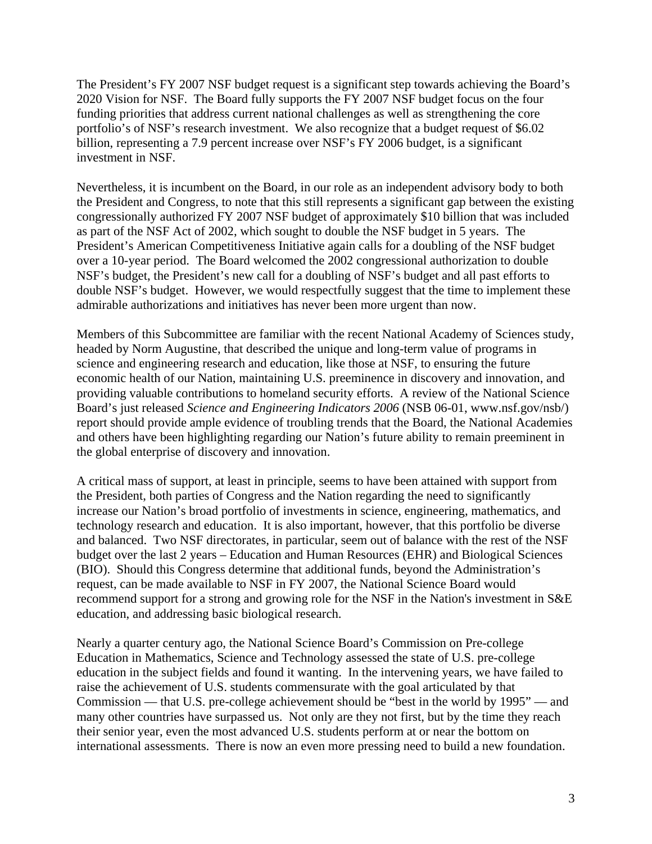The President's FY 2007 NSF budget request is a significant step towards achieving the Board's 2020 Vision for NSF. The Board fully supports the FY 2007 NSF budget focus on the four funding priorities that address current national challenges as well as strengthening the core portfolio's of NSF's research investment. We also recognize that a budget request of \$6.02 billion, representing a 7.9 percent increase over NSF's FY 2006 budget, is a significant investment in NSF.

Nevertheless, it is incumbent on the Board, in our role as an independent advisory body to both the President and Congress, to note that this still represents a significant gap between the existing congressionally authorized FY 2007 NSF budget of approximately \$10 billion that was included as part of the NSF Act of 2002, which sought to double the NSF budget in 5 years. The President's American Competitiveness Initiative again calls for a doubling of the NSF budget over a 10-year period. The Board welcomed the 2002 congressional authorization to double NSF's budget, the President's new call for a doubling of NSF's budget and all past efforts to double NSF's budget. However, we would respectfully suggest that the time to implement these admirable authorizations and initiatives has never been more urgent than now.

Members of this Subcommittee are familiar with the recent National Academy of Sciences study, headed by Norm Augustine, that described the unique and long-term value of programs in science and engineering research and education, like those at NSF, to ensuring the future economic health of our Nation, maintaining U.S. preeminence in discovery and innovation, and providing valuable contributions to homeland security efforts. A review of the National Science Board's just released *Science and Engineering Indicators 2006* (NSB 06-01, www.nsf.gov/nsb/) report should provide ample evidence of troubling trends that the Board, the National Academies and others have been highlighting regarding our Nation's future ability to remain preeminent in the global enterprise of discovery and innovation.

A critical mass of support, at least in principle, seems to have been attained with support from the President, both parties of Congress and the Nation regarding the need to significantly increase our Nation's broad portfolio of investments in science, engineering, mathematics, and technology research and education. It is also important, however, that this portfolio be diverse and balanced. Two NSF directorates, in particular, seem out of balance with the rest of the NSF budget over the last 2 years – Education and Human Resources (EHR) and Biological Sciences (BIO). Should this Congress determine that additional funds, beyond the Administration's request, can be made available to NSF in FY 2007, the National Science Board would recommend support for a strong and growing role for the NSF in the Nation's investment in S&E education, and addressing basic biological research.

Nearly a quarter century ago, the National Science Board's Commission on Pre-college Education in Mathematics, Science and Technology assessed the state of U.S. pre-college education in the subject fields and found it wanting. In the intervening years, we have failed to raise the achievement of U.S. students commensurate with the goal articulated by that Commission — that U.S. pre-college achievement should be "best in the world by 1995" — and many other countries have surpassed us. Not only are they not first, but by the time they reach their senior year, even the most advanced U.S. students perform at or near the bottom on international assessments. There is now an even more pressing need to build a new foundation.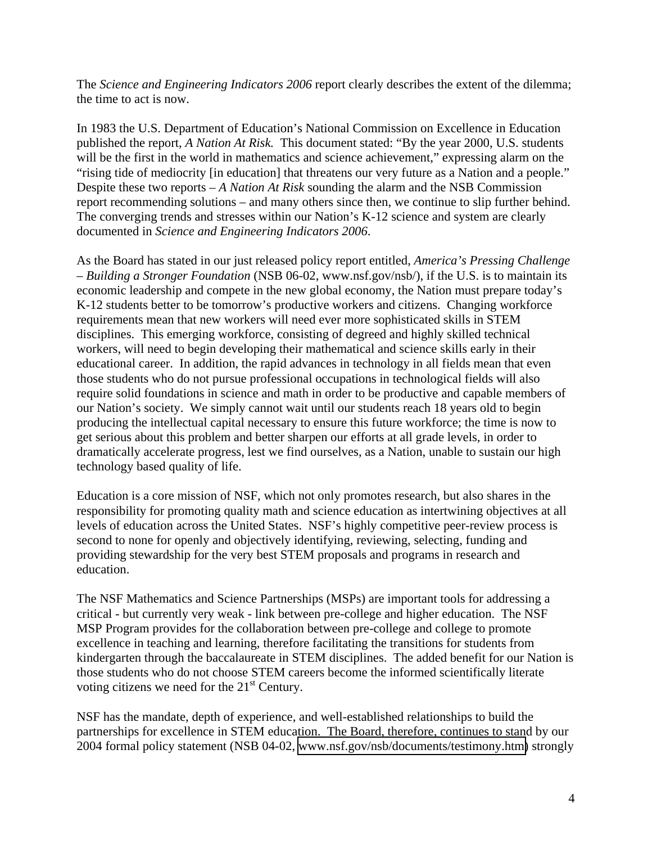The *Science and Engineering Indicators 2006* report clearly describes the extent of the dilemma; the time to act is now.

In 1983 the U.S. Department of Education's National Commission on Excellence in Education published the report, *A Nation At Risk.* This document stated: "By the year 2000, U.S. students will be the first in the world in mathematics and science achievement," expressing alarm on the "rising tide of mediocrity [in education] that threatens our very future as a Nation and a people." Despite these two reports – *A Nation At Risk* sounding the alarm and the NSB Commission report recommending solutions – and many others since then, we continue to slip further behind. The converging trends and stresses within our Nation's K-12 science and system are clearly documented in *Science and Engineering Indicators 2006*.

As the Board has stated in our just released policy report entitled, *America's Pressing Challenge – Building a Stronger Foundation* (NSB 06-02, www.nsf.gov/nsb/), if the U.S. is to maintain its economic leadership and compete in the new global economy, the Nation must prepare today's K-12 students better to be tomorrow's productive workers and citizens. Changing workforce requirements mean that new workers will need ever more sophisticated skills in STEM disciplines. This emerging workforce, consisting of degreed and highly skilled technical workers, will need to begin developing their mathematical and science skills early in their educational career. In addition, the rapid advances in technology in all fields mean that even those students who do not pursue professional occupations in technological fields will also require solid foundations in science and math in order to be productive and capable members of our Nation's society. We simply cannot wait until our students reach 18 years old to begin producing the intellectual capital necessary to ensure this future workforce; the time is now to get serious about this problem and better sharpen our efforts at all grade levels, in order to dramatically accelerate progress, lest we find ourselves, as a Nation, unable to sustain our high technology based quality of life.

Education is a core mission of NSF, which not only promotes research, but also shares in the responsibility for promoting quality math and science education as intertwining objectives at all levels of education across the United States. NSF's highly competitive peer-review process is second to none for openly and objectively identifying, reviewing, selecting, funding and providing stewardship for the very best STEM proposals and programs in research and education.

The NSF Mathematics and Science Partnerships (MSPs) are important tools for addressing a critical - but currently very weak - link between pre-college and higher education. The NSF MSP Program provides for the collaboration between pre-college and college to promote excellence in teaching and learning, therefore facilitating the transitions for students from kindergarten through the baccalaureate in STEM disciplines. The added benefit for our Nation is those students who do not choose STEM careers become the informed scientifically literate voting citizens we need for the  $21<sup>st</sup>$  Century.

NSF has the mandate, depth of experience, and well-established relationships to build the partnerships for excellence in STEM education. The Board, therefore, continues to stand by our 2004 formal policy statement (NSB 04-02, [www.nsf.gov/nsb/documents/testimony.htm\)](https://www.nsf.gov/nsb/documents/2004/nsb_msp_statement2.pdf) strongly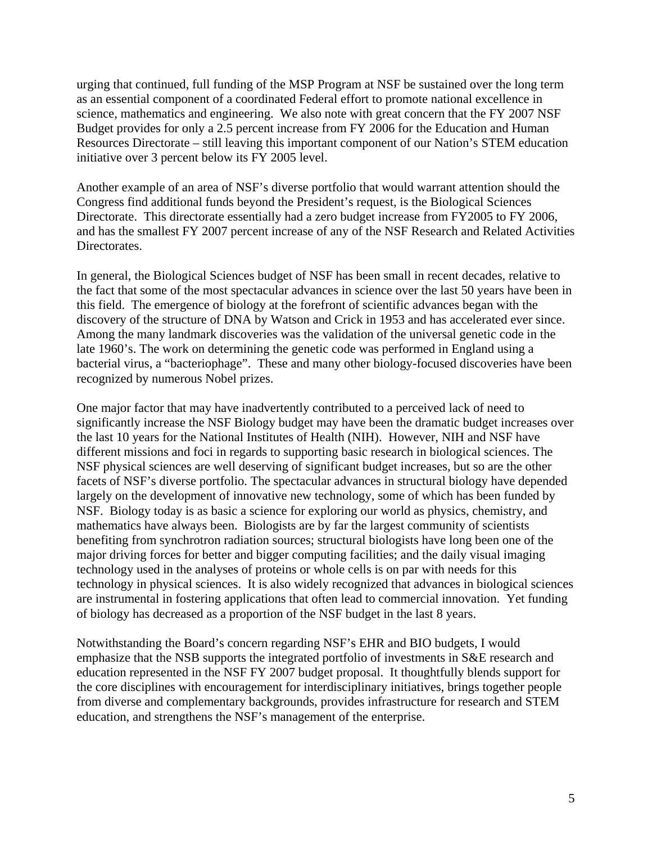urging that continued, full funding of the MSP Program at NSF be sustained over the long term as an essential component of a coordinated Federal effort to promote national excellence in science, mathematics and engineering. We also note with great concern that the FY 2007 NSF Budget provides for only a 2.5 percent increase from FY 2006 for the Education and Human Resources Directorate – still leaving this important component of our Nation's STEM education initiative over 3 percent below its FY 2005 level.

Another example of an area of NSF's diverse portfolio that would warrant attention should the Congress find additional funds beyond the President's request, is the Biological Sciences Directorate. This directorate essentially had a zero budget increase from FY2005 to FY 2006, and has the smallest FY 2007 percent increase of any of the NSF Research and Related Activities Directorates.

In general, the Biological Sciences budget of NSF has been small in recent decades, relative to the fact that some of the most spectacular advances in science over the last 50 years have been in this field. The emergence of biology at the forefront of scientific advances began with the discovery of the structure of DNA by Watson and Crick in 1953 and has accelerated ever since. Among the many landmark discoveries was the validation of the universal genetic code in the late 1960's. The work on determining the genetic code was performed in England using a bacterial virus, a "bacteriophage". These and many other biology-focused discoveries have been recognized by numerous Nobel prizes.

One major factor that may have inadvertently contributed to a perceived lack of need to significantly increase the NSF Biology budget may have been the dramatic budget increases over the last 10 years for the National Institutes of Health (NIH). However, NIH and NSF have different missions and foci in regards to supporting basic research in biological sciences. The NSF physical sciences are well deserving of significant budget increases, but so are the other facets of NSF's diverse portfolio. The spectacular advances in structural biology have depended largely on the development of innovative new technology, some of which has been funded by NSF. Biology today is as basic a science for exploring our world as physics, chemistry, and mathematics have always been. Biologists are by far the largest community of scientists benefiting from synchrotron radiation sources; structural biologists have long been one of the major driving forces for better and bigger computing facilities; and the daily visual imaging technology used in the analyses of proteins or whole cells is on par with needs for this technology in physical sciences. It is also widely recognized that advances in biological sciences are instrumental in fostering applications that often lead to commercial innovation. Yet funding of biology has decreased as a proportion of the NSF budget in the last 8 years.

Notwithstanding the Board's concern regarding NSF's EHR and BIO budgets, I would emphasize that the NSB supports the integrated portfolio of investments in S&E research and education represented in the NSF FY 2007 budget proposal. It thoughtfully blends support for the core disciplines with encouragement for interdisciplinary initiatives, brings together people from diverse and complementary backgrounds, provides infrastructure for research and STEM education, and strengthens the NSF's management of the enterprise.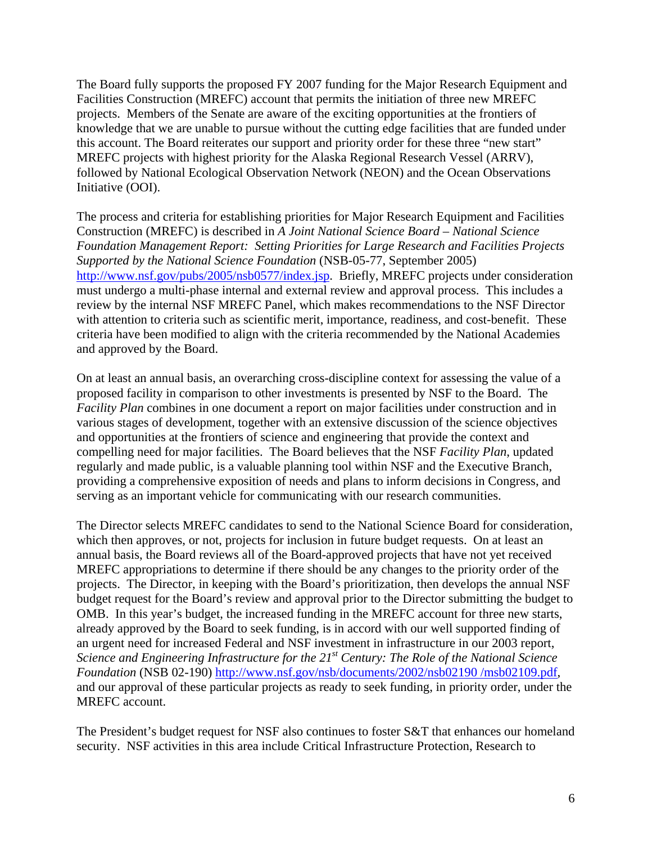The Board fully supports the proposed FY 2007 funding for the Major Research Equipment and Facilities Construction (MREFC) account that permits the initiation of three new MREFC projects. Members of the Senate are aware of the exciting opportunities at the frontiers of knowledge that we are unable to pursue without the cutting edge facilities that are funded under this account. The Board reiterates our support and priority order for these three "new start" MREFC projects with highest priority for the Alaska Regional Research Vessel (ARRV), followed by National Ecological Observation Network (NEON) and the Ocean Observations Initiative (OOI).

The process and criteria for establishing priorities for Major Research Equipment and Facilities Construction (MREFC) is described in *A Joint National Science Board – National Science Foundation Management Report: Setting Priorities for Large Research and Facilities Projects Supported by the National Science Foundation* (NSB-05-77, September 2005) [http://www.nsf.gov/pubs/2005/nsb0577/index.jsp.](http://www.nsf.gov/pubs/2005/nsb0577/index.jsp) Briefly, MREFC projects under consideration must undergo a multi-phase internal and external review and approval process. This includes a review by the internal NSF MREFC Panel, which makes recommendations to the NSF Director with attention to criteria such as scientific merit, importance, readiness, and cost-benefit. These criteria have been modified to align with the criteria recommended by the National Academies and approved by the Board.

On at least an annual basis, an overarching cross-discipline context for assessing the value of a proposed facility in comparison to other investments is presented by NSF to the Board. The *Facility Plan* combines in one document a report on major facilities under construction and in various stages of development, together with an extensive discussion of the science objectives and opportunities at the frontiers of science and engineering that provide the context and compelling need for major facilities. The Board believes that the NSF *Facility Plan*, updated regularly and made public, is a valuable planning tool within NSF and the Executive Branch, providing a comprehensive exposition of needs and plans to inform decisions in Congress, and serving as an important vehicle for communicating with our research communities.

The Director selects MREFC candidates to send to the National Science Board for consideration, which then approves, or not, projects for inclusion in future budget requests. On at least an annual basis, the Board reviews all of the Board-approved projects that have not yet received MREFC appropriations to determine if there should be any changes to the priority order of the projects. The Director, in keeping with the Board's prioritization, then develops the annual NSF budget request for the Board's review and approval prior to the Director submitting the budget to OMB. In this year's budget, the increased funding in the MREFC account for three new starts, already approved by the Board to seek funding, is in accord with our well supported finding of an urgent need for increased Federal and NSF investment in infrastructure in our 2003 report, *Science and Engineering Infrastructure for the 21st Century: The Role of the National Science Foundation* (NSB 02-190) [http://www.nsf.gov/nsb/documents/2002/nsb02190 /msb02109.pdf,](https://www.nsf.gov/nsb/documents/2002/nsb02190/nsb02190.pdf) and our approval of these particular projects as ready to seek funding, in priority order, under the MREFC account.

The President's budget request for NSF also continues to foster S&T that enhances our homeland security. NSF activities in this area include Critical Infrastructure Protection, Research to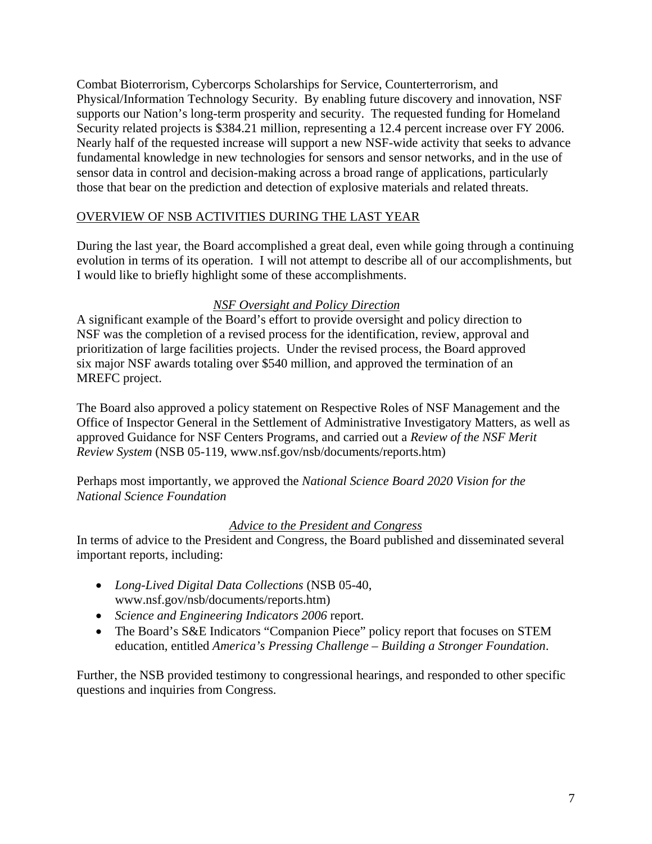Combat Bioterrorism, Cybercorps Scholarships for Service, Counterterrorism, and Physical/Information Technology Security. By enabling future discovery and innovation, NSF supports our Nation's long-term prosperity and security. The requested funding for Homeland Security related projects is \$384.21 million, representing a 12.4 percent increase over FY 2006. Nearly half of the requested increase will support a new NSF-wide activity that seeks to advance fundamental knowledge in new technologies for sensors and sensor networks, and in the use of sensor data in control and decision-making across a broad range of applications, particularly those that bear on the prediction and detection of explosive materials and related threats.

## OVERVIEW OF NSB ACTIVITIES DURING THE LAST YEAR

During the last year, the Board accomplished a great deal, even while going through a continuing evolution in terms of its operation. I will not attempt to describe all of our accomplishments, but I would like to briefly highlight some of these accomplishments.

## *NSF Oversight and Policy Direction*

A significant example of the Board's effort to provide oversight and policy direction to NSF was the completion of a revised process for the identification, review, approval and prioritization of large facilities projects. Under the revised process, the Board approved six major NSF awards totaling over \$540 million, and approved the termination of an MREFC project.

The Board also approved a policy statement on Respective Roles of NSF Management and the Office of Inspector General in the Settlement of Administrative Investigatory Matters, as well as approved Guidance for NSF Centers Programs, and carried out a *Review of the NSF Merit Review System* (NSB 05-119, www.nsf.gov/nsb/documents/reports.htm)

Perhaps most importantly, we approved the *National Science Board 2020 Vision for the National Science Foundation*

#### *Advice to the President and Congress*

In terms of advice to the President and Congress, the Board published and disseminated several important reports, including:

- *Long-Lived Digital Data Collections* (NSB 05-40, www.nsf.gov/nsb/documents/reports.htm)
- *Science and Engineering Indicators 2006* report.
- The Board's S&E Indicators "Companion Piece" policy report that focuses on STEM education, entitled *America's Pressing Challenge – Building a Stronger Foundation*.

Further, the NSB provided testimony to congressional hearings, and responded to other specific questions and inquiries from Congress.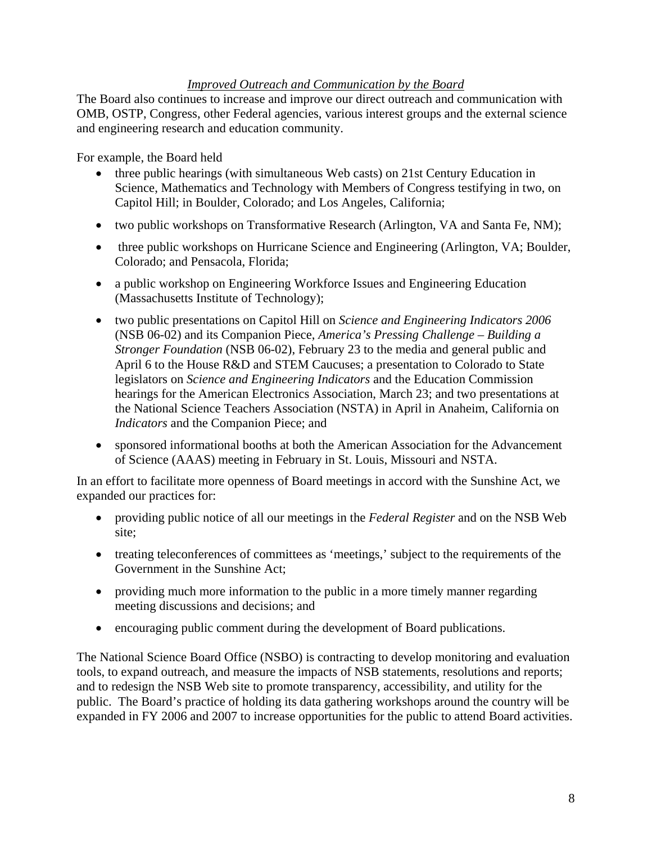## *Improved Outreach and Communication by the Board*

The Board also continues to increase and improve our direct outreach and communication with OMB, OSTP, Congress, other Federal agencies, various interest groups and the external science and engineering research and education community.

For example, the Board held

- three public hearings (with simultaneous Web casts) on 21st Century Education in Science, Mathematics and Technology with Members of Congress testifying in two, on Capitol Hill; in Boulder, Colorado; and Los Angeles, California;
- two public workshops on Transformative Research (Arlington, VA and Santa Fe, NM);
- three public workshops on Hurricane Science and Engineering (Arlington, VA; Boulder, Colorado; and Pensacola, Florida;
- a public workshop on Engineering Workforce Issues and Engineering Education (Massachusetts Institute of Technology);
- two public presentations on Capitol Hill on *Science and Engineering Indicators 2006* (NSB 06-02) and its Companion Piece, *America's Pressing Challenge – Building a Stronger Foundation* (NSB 06-02), February 23 to the media and general public and April 6 to the House R&D and STEM Caucuses; a presentation to Colorado to State legislators on *Science and Engineering Indicators* and the Education Commission hearings for the American Electronics Association, March 23; and two presentations at the National Science Teachers Association (NSTA) in April in Anaheim, California on *Indicators* and the Companion Piece; and
- sponsored informational booths at both the American Association for the Advancement of Science (AAAS) meeting in February in St. Louis, Missouri and NSTA.

In an effort to facilitate more openness of Board meetings in accord with the Sunshine Act, we expanded our practices for:

- providing public notice of all our meetings in the *Federal Register* and on the NSB Web site;
- treating teleconferences of committees as 'meetings,' subject to the requirements of the Government in the Sunshine Act;
- providing much more information to the public in a more timely manner regarding meeting discussions and decisions; and
- encouraging public comment during the development of Board publications.

The National Science Board Office (NSBO) is contracting to develop monitoring and evaluation tools, to expand outreach, and measure the impacts of NSB statements, resolutions and reports; and to redesign the NSB Web site to promote transparency, accessibility, and utility for the public. The Board's practice of holding its data gathering workshops around the country will be expanded in FY 2006 and 2007 to increase opportunities for the public to attend Board activities.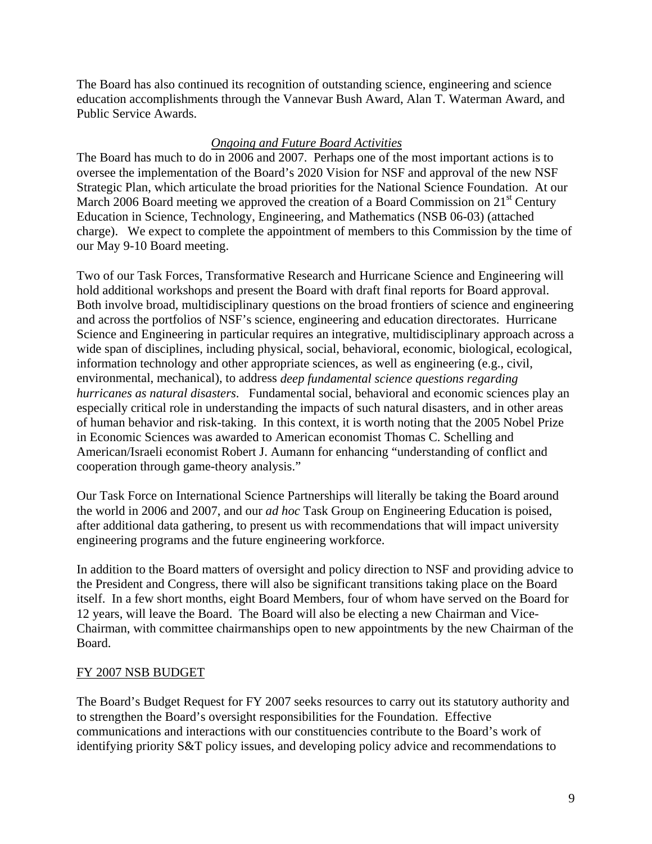The Board has also continued its recognition of outstanding science, engineering and science education accomplishments through the Vannevar Bush Award, Alan T. Waterman Award, and Public Service Awards.

## *Ongoing and Future Board Activities*

The Board has much to do in 2006 and 2007. Perhaps one of the most important actions is to oversee the implementation of the Board's 2020 Vision for NSF and approval of the new NSF Strategic Plan, which articulate the broad priorities for the National Science Foundation. At our March 2006 Board meeting we approved the creation of a Board Commission on  $21<sup>st</sup>$  Century Education in Science, Technology, Engineering, and Mathematics (NSB 06-03) (attached charge). We expect to complete the appointment of members to this Commission by the time of our May 9-10 Board meeting.

Two of our Task Forces, Transformative Research and Hurricane Science and Engineering will hold additional workshops and present the Board with draft final reports for Board approval. Both involve broad, multidisciplinary questions on the broad frontiers of science and engineering and across the portfolios of NSF's science, engineering and education directorates. Hurricane Science and Engineering in particular requires an integrative, multidisciplinary approach across a wide span of disciplines, including physical, social, behavioral, economic, biological, ecological, information technology and other appropriate sciences, as well as engineering (e.g., civil, environmental, mechanical), to address *deep fundamental science questions regarding hurricanes as natural disasters*. Fundamental social, behavioral and economic sciences play an especially critical role in understanding the impacts of such natural disasters, and in other areas of human behavior and risk-taking. In this context, it is worth noting that the 2005 Nobel Prize in Economic Sciences was awarded to American economist Thomas C. Schelling and American/Israeli economist Robert J. Aumann for enhancing "understanding of conflict and cooperation through game-theory analysis."

Our Task Force on International Science Partnerships will literally be taking the Board around the world in 2006 and 2007, and our *ad hoc* Task Group on Engineering Education is poised, after additional data gathering, to present us with recommendations that will impact university engineering programs and the future engineering workforce.

In addition to the Board matters of oversight and policy direction to NSF and providing advice to the President and Congress, there will also be significant transitions taking place on the Board itself. In a few short months, eight Board Members, four of whom have served on the Board for 12 years, will leave the Board. The Board will also be electing a new Chairman and Vice-Chairman, with committee chairmanships open to new appointments by the new Chairman of the Board.

#### FY 2007 NSB BUDGET

The Board's Budget Request for FY 2007 seeks resources to carry out its statutory authority and to strengthen the Board's oversight responsibilities for the Foundation. Effective communications and interactions with our constituencies contribute to the Board's work of identifying priority S&T policy issues, and developing policy advice and recommendations to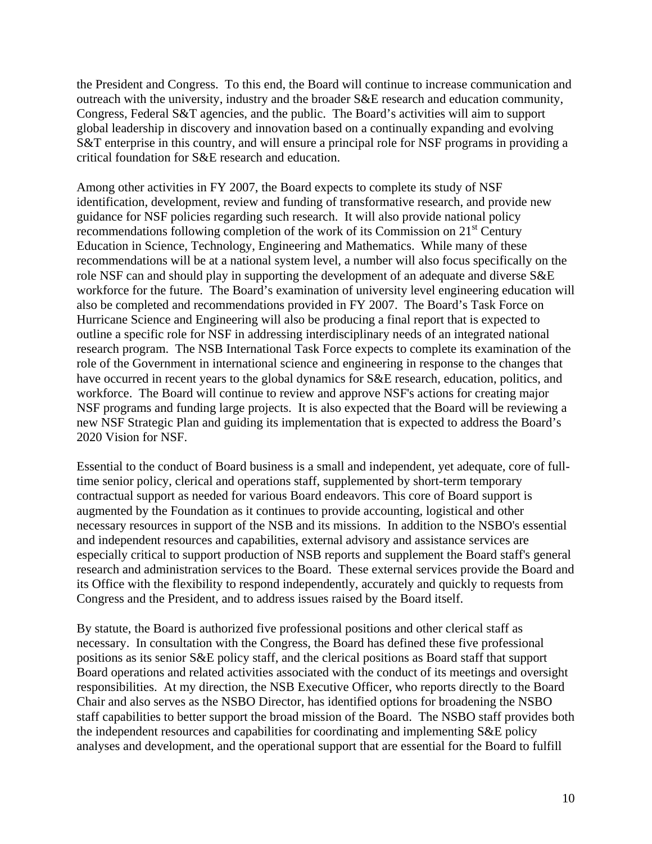the President and Congress. To this end, the Board will continue to increase communication and outreach with the university, industry and the broader S&E research and education community, Congress, Federal S&T agencies, and the public. The Board's activities will aim to support global leadership in discovery and innovation based on a continually expanding and evolving S&T enterprise in this country, and will ensure a principal role for NSF programs in providing a critical foundation for S&E research and education.

Among other activities in FY 2007, the Board expects to complete its study of NSF identification, development, review and funding of transformative research, and provide new guidance for NSF policies regarding such research. It will also provide national policy recommendations following completion of the work of its Commission on 21<sup>st</sup> Century Education in Science, Technology, Engineering and Mathematics. While many of these recommendations will be at a national system level, a number will also focus specifically on the role NSF can and should play in supporting the development of an adequate and diverse S&E workforce for the future. The Board's examination of university level engineering education will also be completed and recommendations provided in FY 2007. The Board's Task Force on Hurricane Science and Engineering will also be producing a final report that is expected to outline a specific role for NSF in addressing interdisciplinary needs of an integrated national research program. The NSB International Task Force expects to complete its examination of the role of the Government in international science and engineering in response to the changes that have occurred in recent years to the global dynamics for S&E research, education, politics, and workforce. The Board will continue to review and approve NSF's actions for creating major NSF programs and funding large projects. It is also expected that the Board will be reviewing a new NSF Strategic Plan and guiding its implementation that is expected to address the Board's 2020 Vision for NSF.

Essential to the conduct of Board business is a small and independent, yet adequate, core of fulltime senior policy, clerical and operations staff, supplemented by short-term temporary contractual support as needed for various Board endeavors. This core of Board support is augmented by the Foundation as it continues to provide accounting, logistical and other necessary resources in support of the NSB and its missions. In addition to the NSBO's essential and independent resources and capabilities, external advisory and assistance services are especially critical to support production of NSB reports and supplement the Board staff's general research and administration services to the Board. These external services provide the Board and its Office with the flexibility to respond independently, accurately and quickly to requests from Congress and the President, and to address issues raised by the Board itself.

By statute, the Board is authorized five professional positions and other clerical staff as necessary. In consultation with the Congress, the Board has defined these five professional positions as its senior S&E policy staff, and the clerical positions as Board staff that support Board operations and related activities associated with the conduct of its meetings and oversight responsibilities. At my direction, the NSB Executive Officer, who reports directly to the Board Chair and also serves as the NSBO Director, has identified options for broadening the NSBO staff capabilities to better support the broad mission of the Board. The NSBO staff provides both the independent resources and capabilities for coordinating and implementing S&E policy analyses and development, and the operational support that are essential for the Board to fulfill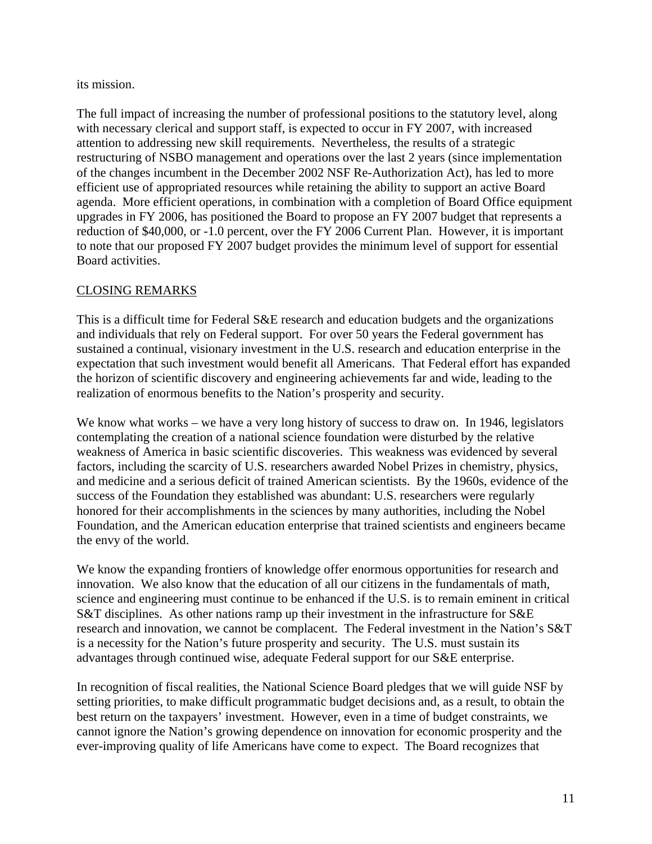## its mission.

The full impact of increasing the number of professional positions to the statutory level, along with necessary clerical and support staff, is expected to occur in FY 2007, with increased attention to addressing new skill requirements. Nevertheless, the results of a strategic restructuring of NSBO management and operations over the last 2 years (since implementation of the changes incumbent in the December 2002 NSF Re-Authorization Act), has led to more efficient use of appropriated resources while retaining the ability to support an active Board agenda. More efficient operations, in combination with a completion of Board Office equipment upgrades in FY 2006, has positioned the Board to propose an FY 2007 budget that represents a reduction of \$40,000, or -1.0 percent, over the FY 2006 Current Plan. However, it is important to note that our proposed FY 2007 budget provides the minimum level of support for essential Board activities.

# CLOSING REMARKS

This is a difficult time for Federal S&E research and education budgets and the organizations and individuals that rely on Federal support. For over 50 years the Federal government has sustained a continual, visionary investment in the U.S. research and education enterprise in the expectation that such investment would benefit all Americans. That Federal effort has expanded the horizon of scientific discovery and engineering achievements far and wide, leading to the realization of enormous benefits to the Nation's prosperity and security.

We know what works – we have a very long history of success to draw on. In 1946, legislators contemplating the creation of a national science foundation were disturbed by the relative weakness of America in basic scientific discoveries. This weakness was evidenced by several factors, including the scarcity of U.S. researchers awarded Nobel Prizes in chemistry, physics, and medicine and a serious deficit of trained American scientists. By the 1960s, evidence of the success of the Foundation they established was abundant: U.S. researchers were regularly honored for their accomplishments in the sciences by many authorities, including the Nobel Foundation, and the American education enterprise that trained scientists and engineers became the envy of the world.

We know the expanding frontiers of knowledge offer enormous opportunities for research and innovation. We also know that the education of all our citizens in the fundamentals of math, science and engineering must continue to be enhanced if the U.S. is to remain eminent in critical S&T disciplines. As other nations ramp up their investment in the infrastructure for S&E research and innovation, we cannot be complacent. The Federal investment in the Nation's S&T is a necessity for the Nation's future prosperity and security. The U.S. must sustain its advantages through continued wise, adequate Federal support for our S&E enterprise.

In recognition of fiscal realities, the National Science Board pledges that we will guide NSF by setting priorities, to make difficult programmatic budget decisions and, as a result, to obtain the best return on the taxpayers' investment. However, even in a time of budget constraints, we cannot ignore the Nation's growing dependence on innovation for economic prosperity and the ever-improving quality of life Americans have come to expect. The Board recognizes that